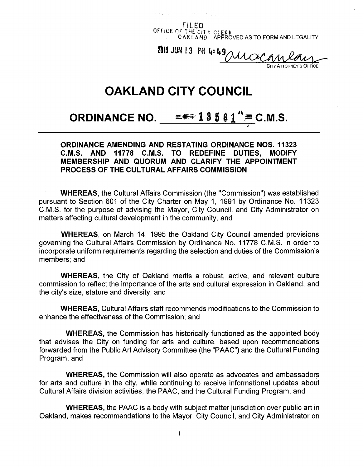filed OFf ice OF THE ClT *\* C,i* E\*H 0 A <sup>K</sup> <sup>L</sup> <sup>A</sup> NO APPROVED AS TO FORM AND LEGALITY

 $\label{eq:1.1} \left\langle \left\langle \phi_{\alpha} \right\rangle^{2/2+2\alpha} \right\rangle = \left\langle \left\langle \phi_{\alpha} \right\rangle^{2}/2 \right\rangle_{\rm{d}} \left\langle \left\langle \phi_{\alpha} \right\rangle^{2} \right\rangle_{\rm{d}} \left\langle \left\langle \phi_{\alpha} \right\rangle^{2} \right\rangle_{\rm{d}} \left\langle \left\langle \phi_{\alpha} \right\rangle^{2} \right\rangle_{\rm{d}} \left\langle \left\langle \phi_{\alpha} \right\rangle^{2} \right\rangle_{\rm{d}}$ 

2019 JUN 13 PM 4:49 all cl Man City Attorney'<sup>s</sup> Office

## **OAKLAND CITY COUNCIL**

# **ORDINANCE NO.**  $\leq \leq 13561$   $\leq$   $\leq$   $\leq$   $\leq$   $\leq$   $\leq$   $\leq$   $\leq$   $\leq$   $\leq$   $\leq$   $\leq$   $\leq$   $\leq$   $\leq$   $\leq$   $\leq$   $\leq$   $\leq$   $\leq$   $\leq$   $\leq$   $\leq$   $\leq$   $\leq$   $\leq$   $\leq$   $\leq$   $\leq$   $\leq$   $\leq$   $\leq$

## **ORDINANCE AMENDING AND RESTATING ORDINANCE NOS. 11323 C.M.S. AND 11778 C.M.S. TO REDEFINE DUTIES, MODIFY MEMBERSHIP AND QUORUM AND CLARIFY THE APPOINTMENT PROCESS OF THE CULTURAL AFFAIRS COMMISSION**

**WHEREAS,** the Cultural Affairs Commission (the "Commission") was established pursuant to Section 601 of the City Charter on May 1, 1991 by Ordinance No. 11323 C.M.S. for the purpose of advising the Mayor, City Council, and City Administrator on matters affecting cultural development in the community; and

**WHEREAS,** on March 14, 1995 the Oakland City Council amended provisions governing the Cultural Affairs Commission by Ordinance No. 11778 C.M.S. in order to incorporate uniform requirements regarding the selection and duties of the Commission's members; and

**WHEREAS,** the City of Oakland merits a robust, active, and relevant culture commission to reflect the importance of the arts and cultural expression in Oakland, and the city's size, stature and diversity; and

**WHEREAS,** Cultural Affairs staff recommends modifications to the Commission to enhance the effectiveness of the Commission; and

**WHEREAS,** the Commission has historically functioned as the appointed body that advises the City on funding for arts and culture, based upon recommendations forwarded from the Public Art Advisory Committee (the "PAAC") and the Cultural Funding Program; and

**WHEREAS,** the Commission will also operate as advocates and ambassadors for arts and culture in the city, while continuing to receive informational updates about Cultural Affairs division activities, the PAAC, and the Cultural Funding Program; and

**WHEREAS,** the PAAC is a body with subject matter jurisdiction over public art in Oakland, makes recommendations to the Mayor, City Council, and City Administrator on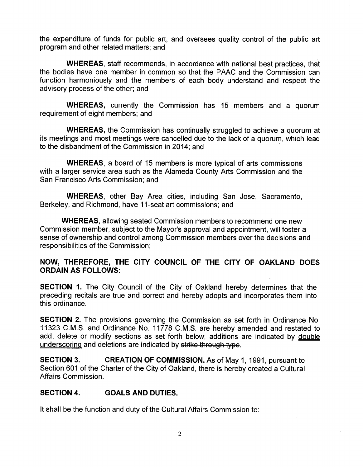the expenditure of funds for public art, and oversees quality control of the public art program and other related matters; and

**WHEREAS,** staff recommends, in accordance with national best practices, that the bodies have one member in common so that the PAAC and the Commission can function harmoniously and the members of each body understand and respect the advisory process of the other; and

**WHEREAS,** currently the Commission has 15 members and a quorum requirement of eight members; and

**WHEREAS,** the Commission has continually struggled to achieve a quorum at its meetings and most meetings were cancelled due to the lack of a quorum, which lead to the disbandment of the Commission in 2014; and

**WHEREAS,** a board of 15 members is more typical of arts commissions with a larger service area such as the Alameda County Arts Commission and the San Francisco Arts Commission; and

**WHEREAS,** other Bay Area cities, including San Jose, Sacramento, Berkeley, and Richmond, have 11-seat art commissions; and

**WHEREAS,** allowing seated Commission members to recommend one new Commission member, subject to the Mayor's approval and appointment, will foster a sense of ownership and control among Commission members over the decisions and responsibilities of the Commission;

## NOW, THEREFORE, THE CITY COUNCIL OF THE CITY OF OAKLAND DOES ordain as follows:

**SECTION 1.** The City Council of the City of Oakland hereby determines that the preceding recitals are true and correct and hereby adopts and incorporates them into this ordinance.

**SECTION 2.** The provisions governing the Commission as set forth in Ordinance No. 11323 C.M.S. and Ordinance No. 11778 C.M.S. are hereby amended and restated to add, delete or modify sections as set forth below; additions are indicated by double underscoring and deletions are indicated by strike through type.

**SECTION 3.** Section 601 of the Charter of the City of Oakland, there is hereby created a Cultural Affairs Commission. **CREATION OF COMMISSION.** As of May 1, 1991, pursuant to

## **SECTION 4. GOALS AND DUTIES.**

It shall be the function and duty of the Cultural Affairs Commission to: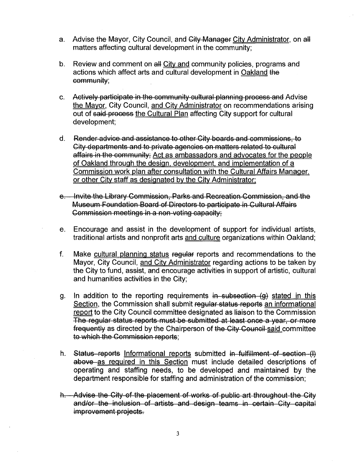- a. Advise the Mayor, City Council, and City Manager City Administrator, on all matters affecting cultural development in the community;
- b. Review and comment on all City and community policies, programs and actions which affect arts and cultural development in Oakland the community;
- c. Actively participate in the commumty-Gultural planning process and Advise the Mayor. City Council, and City Administrator on recommendations arising out of said process the Cultural Plan affecting City support for cultural development;
- d. Render advice and assistance to other City boards and commissions,-4o City departments and to private agencies on matters related to cultural affairs in the community. Act as ambassadors and advocates for the people of Oakland through the design, development, and implementation of a Commission work plan after consultation with the Cultural Affairs Manager. or other City staff as designated bv the City Administrator:
- *e-.*—Uwite the Library Commission, Parks and Recreation Commission, and the Museum Foundation Board of Directors to participate in Cultural Affairs Commission meetings in <sup>a</sup> non-voting capacity;
- e. Encourage and assist in the development of support for individual artists, traditional artists and nonprofit arts and culture organizations within Oakland;
- f. Make cultural planning status regular reports and recommendations to the Mayor, City Council, and City Administrator regarding actions to be taken by the City to fund, assist, and encourage activities in support of artistic, cultural and humanities activities in the City;
- g. In addition to the reporting requirements in subsection  $(g)$  stated in this Section, the Commission shall submit regular status reports an informational report to the City Council committee designated as liaison to the Commission The regular status reports must be submitted at least once a year, or more frequently as directed by the Chairperson of the City Council said committee to which the-Gommission reports;
- h. Status-reports Informational reports submitted in fulfillment of section (I) above as required in this Section must include detailed descriptions of operating and staffing needs, to be developed and maintained by the department responsible for staffing and administration of the commission;
- fh—Advise the-Gity-of the placement of works of public art throughout the City and/or the inclusion of artists and design teams in certain City capital improvement projects.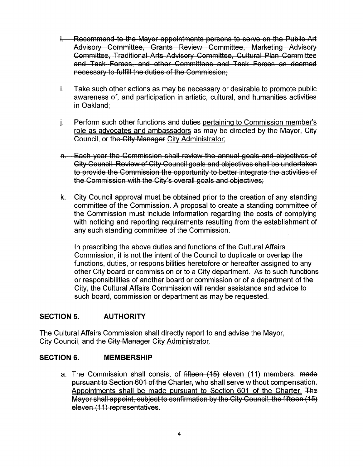- i. Recommend-to-the-Mayor appointments persons to serve on the Public Art Advisory Committee, Grants Review Committee, Marketing Advisory Committee, Traditional Arts Advisory Committee, Cultural Plan Committee and Task-Forces, and other Committees and Task Forces as deemed necessary-to fulfill-the duties of the Commission;
- i. Take such other actions as may be necessary or desirable to promote public awareness of, and participation in artistic, cultural, and humanities activities in Oakland;
- Perform such other functions and duties pertaining to Commission member's role as advocates and ambassadors as may be directed by the Mayor, City Council, or the-Gity Manager City Administrator: J-
- Fh—Eaoh-year the Commission-shall review the annual goals and objectives of City Council. Review of City-Council goals and objectives shall be undertaken to provide the Commission the opportunity to better-integrate the activities of the Commission with the City's overall goals and objectives;
- k. City Council approval must be obtained prior to the creation of any standing committee of the Commission. A proposal to create a standing committee of the Commission must include information regarding the costs of complying with noticing and reporting requirements resulting from the establishment of any such standing committee of the Commission.

In prescribing the above duties and functions of the Cultural Affairs Commission, it is not the intent of the Council to duplicate or overlap the functions, duties, or responsibilities heretofore or hereafter assigned to any other City board or commission or to a City department. As to such functions or responsibilities of another board or commission or of a department of the City, the Cultural Affairs Commission will render assistance and advice to such board, commission or department as may be requested.

## **SECTION 5. AUTHORITY**

The Cultural Affairs Commission shall directly report to and advise the Mayor, City Council, and the City Manager City Administrator.

## **SECTION 6. MEMBERSHIP**

a. The Commission shall consist of fifteen (15) eleven (11) members, made pursuant-to Section 601 of the Charter, who shall serve without compensation. Appointments shall be made pursuant to Section 601 of the Charter. The Mayor shall-appoint, subject-to confirmation-by-the-City-Council, the fifteen (15) eleven (11) representatives.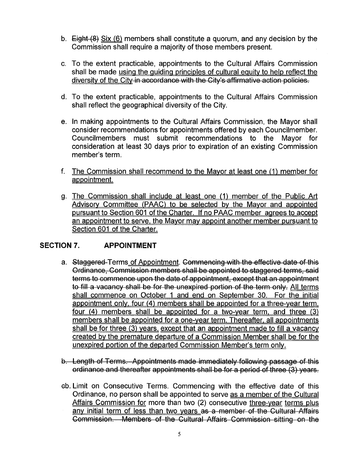- b. Eight (8) Six (6) members shall constitute a quorum, and any decision by the Commission shall require a majority of those members present.
- c. To the extent practicable, appointments to the Cultural Affairs Commission shall be made using the guiding principles of cultural equity to help reflect the diversity of the City in accordance with the City's affirmative action policies.
- d. To the extent practicable, appointments to the Cultural Affairs Commission shall reflect the geographical diversity of the City.
- e. In making appointments to the Cultural Affairs Commission, the Mayor shall consider recommendations for appointments offered by each Councilmember.<br>Councilmembers must submit recommendations to the Mayor for Councilmembers must submit recommendations to the consideration at least 30 days prior to expiration of an existing Commission member's term.
- f. The Commission shall recommend to the Mayor at least one (1) member for appointment.
- g. <u>The Commission shall include at least one (1) member of the Public Art</u> Advisory Committee (PAAC) to be selected bv the Mayor and appointed pursuant to Section 601 of the Charter. If no PAAC member agrees to accept an appointment to serve, the Mayor mav appoint another member pursuant to Section 601 of the Charter.

## **SECTION 7. APPOINTMENT**

- a. Staggered-Terms of Appointment. Commencing-with-the-effective-date of this Ordinance, Commission members shall be appointed to staggered terms, said terms to commence upon the date of appointment, except that an appointment to fill a vacancy shall be for the unexpired portion of the term only. All terms shall commence on October 1 and end on September 30. For the initial appointment only, four (4) members shall be appointed for a three-year term, four (4) members shall be appointed for a two-year term, and three  $(3)$ members shall be appointed for a one-year term. Thereafter, all appointments shall be for three *(3)* years, except that an appointment made to fill a vacancy created bv the premature departure of a Commission Member shall be for the unexoired portion of the departed Commission Member's term only.
- b. Length of Terms.—Appointments made-immediately following passage of this ordinance and thereafter appointments shall be for a period of three (3) years.
- cb. Limit on Consecutive Terms. Commencing with the effective date of this Ordinance, no person shall be appointed to serve as a member of the Cultural Affairs Commission for more than two (2) consecutive three-vear terms plus any initial term of less than two years as a member of the Cultural Affairs Commission.—Members of the Cultural Affairs Commission sitting on the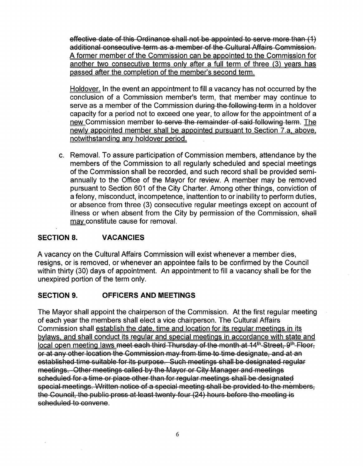effective date of this Ordinance shall not be appointed to serve more than (1) additional-consecutive-term-as a member of the Cultural Affairs Commission. A former member of the Commission can be appointed to the Commission for another two consecutive terms only after a full term of three (3) years has passed after the completion of the member's second term.

Holdover. In the event an appointment to fill a vacancy has not occurred by the conclusion of a Commission member's term, that member may continue to serve as a member of the Commission during the following-term in a holdover capacity for a period not to exceed one year, to allow for the appointment of a new Commission member to serve the remainder of said-following-term. The newlv appointed member shall be appointed pursuant to Section 7.a. above. notwithstanding anv holdover period.

c. Removal. To assure participation of Commission members, attendance by the members of the Commission to all regularly scheduled and special meetings of the Commission shall be recorded, and such record shall be provided semiannually to the Office of the Mayor for review. A member may be removed pursuant to Section 601 of the City Charter. Among other things, conviction of a felony, misconduct, incompetence, inattention to or inability to perform duties, or absence from three (3) consecutive regular meetings except on account of illness or when absent from the City by permission of the Commission, shall mav constitute cause for removal.

## **SECTION 8. VACANCIES**

A vacancy on the Cultural Affairs Commission will exist whenever a member dies, resigns, or is removed, or whenever an appointee fails to be confirmed by the Council within thirty (30) days of appointment. An appointment to fill a vacancy shall be for the unexpired portion of the term only.

## **SECTION 9. OFFICERS AND MEETINGS**

The Mayor shall appoint the chairperson of the Commission. At the first regular meeting of each year the members shall elect a vice chairperson. The Cultural Affairs Commission shall establish the date, time and location for its regular meetings in its bylaws, and shall conduct its regular and special meetings in accordance with state and local open meeting laws meet each third Thursday of the month at  $14^{\text{th}}$ -Street.  $9^{\text{th}}$ -Floor. or at any other location the Commission-may from-time to time designate, and at an established time suitable for its purpose. Such meetings shall be designated regular meetings. Other-meetings called by the Mayor or City Manager and meetings scheduled for a time or place other than-for regular meetings shall be designated special-meetings. Written notice of a special meeting shall be provided to the members, the Council, the public press at-least twenty-four (24) hours before the meeting is scheduled to convene.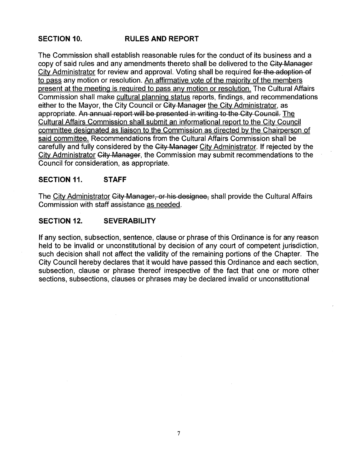# SECTION 10. RULES AND REPORT.

The Commission shall establish reasonable rules for the conduct of its business and a copy of said rules and any amendments thereto shall be delivered to the City Manager City Administrator for review and approval. Voting shall be required for the adoption of to pass any motion or resolution. An affirmative vote of the majority of the members present at the meeting is required to pass anv motion or resolution. The Cultural Affairs Commission shall make cultural planning status reports, findings, and recommendations either to the Mayor, the City Council or City Manager the City Administrator, as appropriate. An annual report will be presented in writing to the City Council. The Cultural Affairs Commission shall submit an informational report to the City Council committee designated as liaison to the Commission as directed bv the Chairperson of said committee. Recommendations from the Cultural Affairs Commission shall be carefully and fully considered by the City Manager City Administrator. If rejected by the City Administrator City Manager, the Commission may submit recommendations to the Council for consideration, as appropriate.

### **SECTION 11. STAFF**

The City Administrator City-Manager, or-his designee, shall provide the Cultural Affairs Commission with staff assistance as needed.

### **SECTION 12. SEVERABILITY**

If any section, subsection, sentence, clause or phrase of this Ordinance is for any reason held to be invalid or unconstitutional by decision of any court of competent jurisdiction, such decision shall not affect the validity of the remaining portions of the Chapter. The City Council hereby declares that it would have passed this Ordinance and each section, subsection, clause or phrase thereof irrespective of the fact that one or more other sections, subsections, clauses or phrases may be declared invalid or unconstitutional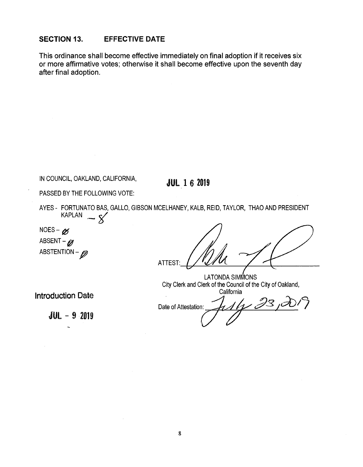## **SECTION 13. EFFECTIVE DATE**

This ordinance shall become effective immediately on final adoption if it receives six or more affirmative votes; otherwise it shall become effective upon the seventh day after final adoption.

IN COUNCIL, OAKLAND, CALIFORNIA, *mi* **<sup>1</sup> <sup>6</sup> <sup>2019</sup>**

PASSED BY THE FOLLOWING VOTE:

AYES - FORTUNATO BAS, GALLO, GIBSON MCELHANEY, KALB, REID, TAYLOR, THAO AND PRESIDENT  $KAPLAN - S$ 

NOES - *0* ABSENT - **0** ABSTENTION -  $\mathscr{D}$ 

*P* ATTEST:

LATONDA SIMMONS City Clerk and Clerk of the Council of the City of Oakland

 $JUL - 92019$ 

Introduction Date<br>Date of Attestation:  $A/M/33/\lambda$ Date of Attestation:

 $\sim$